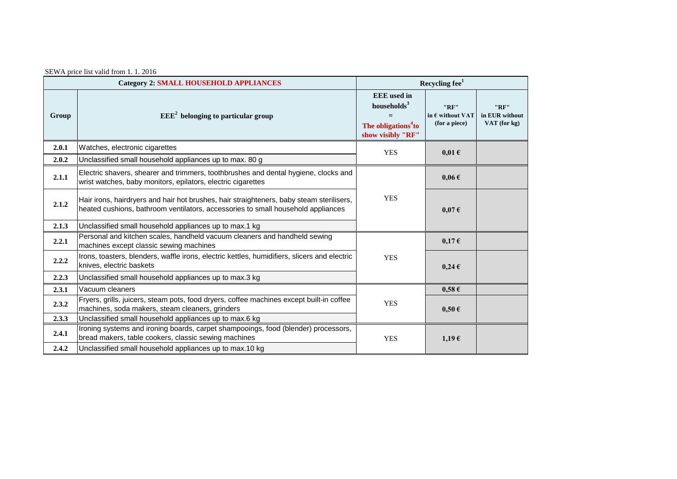| SEWA price list valid from 1.1.2016 |  |  |  |  |  |  |  |
|-------------------------------------|--|--|--|--|--|--|--|
|-------------------------------------|--|--|--|--|--|--|--|

| <b>Category 2: SMALL HOUSEHOLD APPLIANCES</b> |                                                                                                                                                                              | Recycling fee <sup>1</sup>                                                                            |                                                    |                                        |  |
|-----------------------------------------------|------------------------------------------------------------------------------------------------------------------------------------------------------------------------------|-------------------------------------------------------------------------------------------------------|----------------------------------------------------|----------------------------------------|--|
| Group                                         | $EEE2$ belonging to particular group                                                                                                                                         | <b>EEE</b> used in<br>households <sup>3</sup><br>The obligations <sup>4</sup> to<br>show visibly "RF" | "RF"<br>in $\epsilon$ without VAT<br>(for a piece) | "RF"<br>in EUR without<br>VAT (for kg) |  |
| 2.0.1                                         | Watches, electronic cigarettes                                                                                                                                               | <b>YES</b>                                                                                            | $0,01 \in$                                         |                                        |  |
| 2.0.2                                         | Unclassified small household appliances up to max. 80 g                                                                                                                      |                                                                                                       |                                                    |                                        |  |
| 2.1.1                                         | Electric shavers, shearer and trimmers, toothbrushes and dental hygiene, clocks and<br>wrist watches, baby monitors, epilators, electric cigarettes                          |                                                                                                       | $0.06 \in$                                         |                                        |  |
| 2.1.2                                         | Hair irons, hairdryers and hair hot brushes, hair straighteners, baby steam sterilisers,<br>heated cushions, bathroom ventilators, accessories to small household appliances | <b>YES</b>                                                                                            | $0.07 \in$                                         |                                        |  |
| 2.1.3                                         | Unclassified small household appliances up to max.1 kg                                                                                                                       |                                                                                                       |                                                    |                                        |  |
| 2.2.1                                         | Personal and kitchen scales, handheld vacuum cleaners and handheld sewing<br>machines except classic sewing machines                                                         |                                                                                                       | $0.17 \in$                                         |                                        |  |
| 2.2.2                                         | Irons, toasters, blenders, waffle irons, electric kettles, humidifiers, slicers and electric<br>knives, electric baskets                                                     | <b>YES</b>                                                                                            | $0,24 \in$                                         |                                        |  |
| 2.2.3                                         | Unclassified small household appliances up to max.3 kg                                                                                                                       |                                                                                                       |                                                    |                                        |  |
| 2.3.1                                         | Vacuum cleaners                                                                                                                                                              |                                                                                                       | $0,58 \in$                                         |                                        |  |
| 2.3.2                                         | Fryers, grills, juicers, steam pots, food dryers, coffee machines except built-in coffee<br>machines, soda makers, steam cleaners, grinders                                  | <b>YES</b>                                                                                            | $0.50 \in$                                         |                                        |  |
| 2.3.3                                         | Unclassified small household appliances up to max.6 kg                                                                                                                       |                                                                                                       |                                                    |                                        |  |
| 2.4.1                                         | Ironing systems and ironing boards, carpet shampooings, food (blender) processors,<br>bread makers, table cookers, classic sewing machines                                   | <b>YES</b>                                                                                            | $1,19 \in$                                         |                                        |  |
| 2.4.2                                         | Unclassified small household appliances up to max.10 kg                                                                                                                      |                                                                                                       |                                                    |                                        |  |